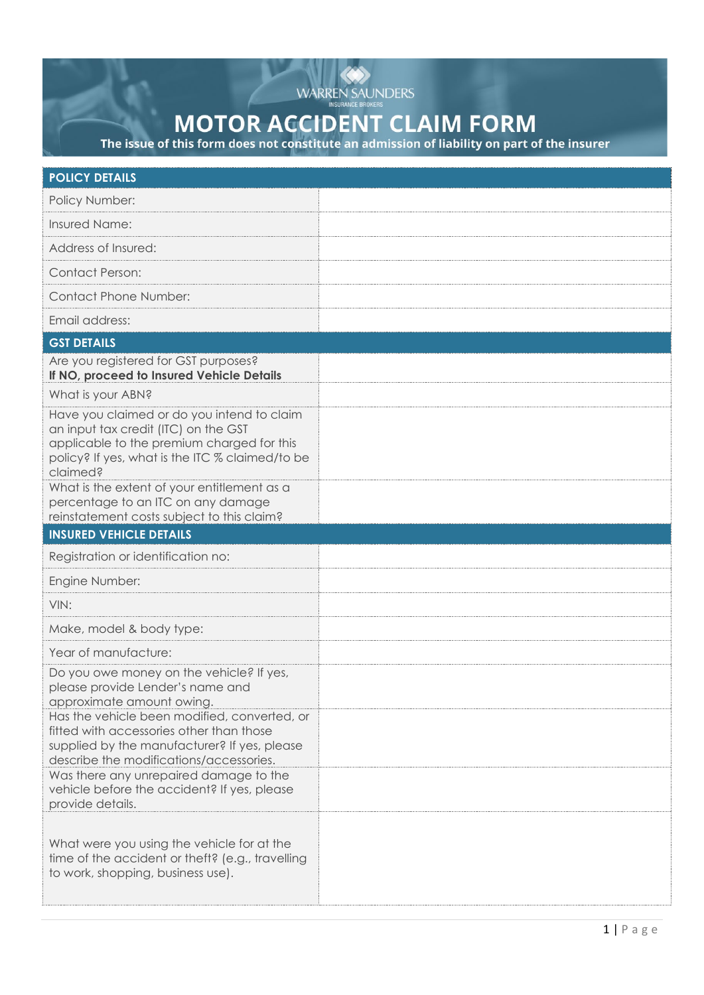

## **MOTOR ACCIDENT CLAIM FORM**

The issue of this form does not constitute an admission of liability on part of the insurer

| <b>POLICY DETAILS</b>                                                                                                                                                                                                                          |  |
|------------------------------------------------------------------------------------------------------------------------------------------------------------------------------------------------------------------------------------------------|--|
| Policy Number:                                                                                                                                                                                                                                 |  |
| Insured Name:                                                                                                                                                                                                                                  |  |
| Address of Insured:                                                                                                                                                                                                                            |  |
| <b>Contact Person:</b>                                                                                                                                                                                                                         |  |
| <b>Contact Phone Number:</b>                                                                                                                                                                                                                   |  |
| Email address:                                                                                                                                                                                                                                 |  |
| <b>GST DETAILS</b>                                                                                                                                                                                                                             |  |
| Are you registered for GST purposes?<br>If NO, proceed to Insured Vehicle Details                                                                                                                                                              |  |
| What is your ABN?                                                                                                                                                                                                                              |  |
| Have you claimed or do you intend to claim<br>an input tax credit (ITC) on the GST<br>applicable to the premium charged for this<br>policy? If yes, what is the ITC % claimed/to be<br>claimed?<br>What is the extent of your entitlement as a |  |
| percentage to an ITC on any damage<br>reinstatement costs subject to this claim?                                                                                                                                                               |  |
| <b>INSURED VEHICLE DETAILS</b>                                                                                                                                                                                                                 |  |
| Registration or identification no:                                                                                                                                                                                                             |  |
| Engine Number:                                                                                                                                                                                                                                 |  |
| VIN:                                                                                                                                                                                                                                           |  |
| Make, model & body type:                                                                                                                                                                                                                       |  |
| Year of manufacture:                                                                                                                                                                                                                           |  |
| Do you owe money on the vehicle? If yes,<br>please provide Lender's name and<br>approximate amount owing.                                                                                                                                      |  |
| Has the vehicle been modified, converted, or<br>fitted with accessories other than those<br>supplied by the manufacturer? If yes, please<br>describe the modifications/accessories.                                                            |  |
| Was there any unrepaired damage to the<br>vehicle before the accident? If yes, please<br>provide details.                                                                                                                                      |  |
| What were you using the vehicle for at the<br>time of the accident or theft? (e.g., travelling<br>to work, shopping, business use).                                                                                                            |  |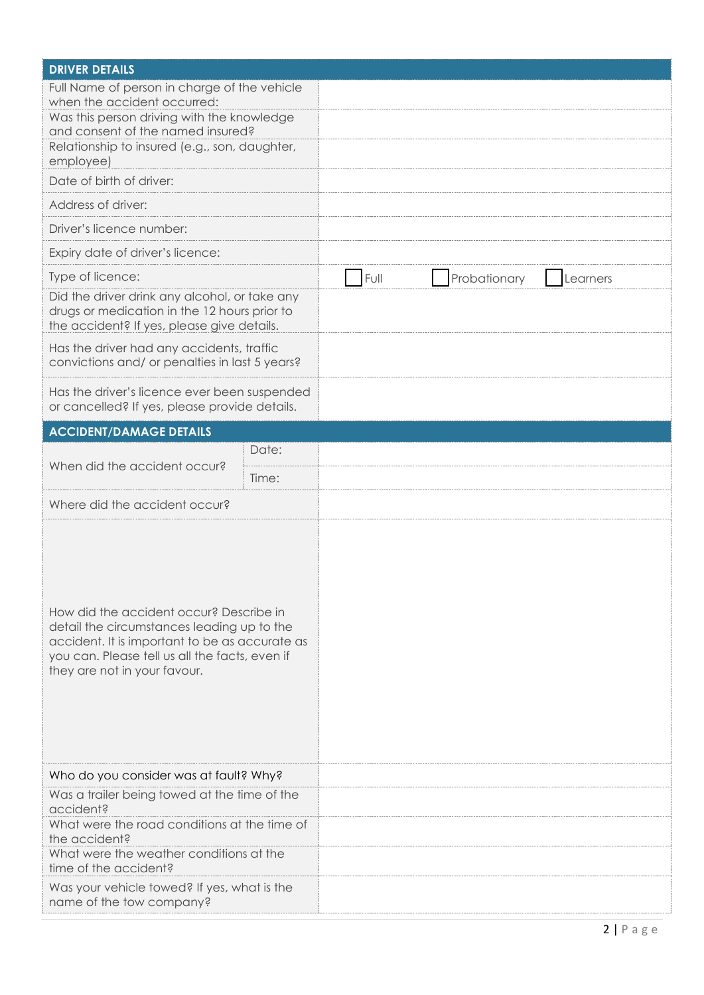| <b>DRIVER DETAILS</b>                                                                                                                                                                                                        |                                  |  |  |  |  |  |
|------------------------------------------------------------------------------------------------------------------------------------------------------------------------------------------------------------------------------|----------------------------------|--|--|--|--|--|
| Full Name of person in charge of the vehicle<br>when the accident occurred:<br>Was this person driving with the knowledge<br>and consent of the named insured?<br>Relationship to insured (e.g., son, daughter,<br>employee) |                                  |  |  |  |  |  |
| Date of birth of driver:                                                                                                                                                                                                     |                                  |  |  |  |  |  |
| Address of driver:                                                                                                                                                                                                           |                                  |  |  |  |  |  |
| Driver's licence number:                                                                                                                                                                                                     |                                  |  |  |  |  |  |
| Expiry date of driver's licence:                                                                                                                                                                                             |                                  |  |  |  |  |  |
| Type of licence:                                                                                                                                                                                                             | Full<br>Probationary<br>Learners |  |  |  |  |  |
| Did the driver drink any alcohol, or take any<br>drugs or medication in the 12 hours prior to<br>the accident? If yes, please give details.                                                                                  |                                  |  |  |  |  |  |
| Has the driver had any accidents, traffic<br>convictions and/ or penalties in last 5 years?                                                                                                                                  |                                  |  |  |  |  |  |
| Has the driver's licence ever been suspended<br>or cancelled? If yes, please provide details.                                                                                                                                |                                  |  |  |  |  |  |
| <b>ACCIDENT/DAMAGE DETAILS</b>                                                                                                                                                                                               |                                  |  |  |  |  |  |
| Date:<br>When did the accident occur?                                                                                                                                                                                        |                                  |  |  |  |  |  |
| Time:                                                                                                                                                                                                                        |                                  |  |  |  |  |  |
| Where did the accident occur?                                                                                                                                                                                                |                                  |  |  |  |  |  |
| How did the accident occur? Describe in<br>detail the circumstances leading up to the<br>accident. It is important to be as accurate as<br>you can. Please tell us all the facts, even if<br>they are not in your favour.    |                                  |  |  |  |  |  |
| Who do you consider was at fault? Why?                                                                                                                                                                                       |                                  |  |  |  |  |  |
| Was a trailer being towed at the time of the<br>accident?                                                                                                                                                                    |                                  |  |  |  |  |  |
| What were the road conditions at the time of<br>the accident?                                                                                                                                                                |                                  |  |  |  |  |  |
| What were the weather conditions at the<br>time of the accident?                                                                                                                                                             |                                  |  |  |  |  |  |
| Was your vehicle towed? If yes, what is the<br>name of the tow company?                                                                                                                                                      |                                  |  |  |  |  |  |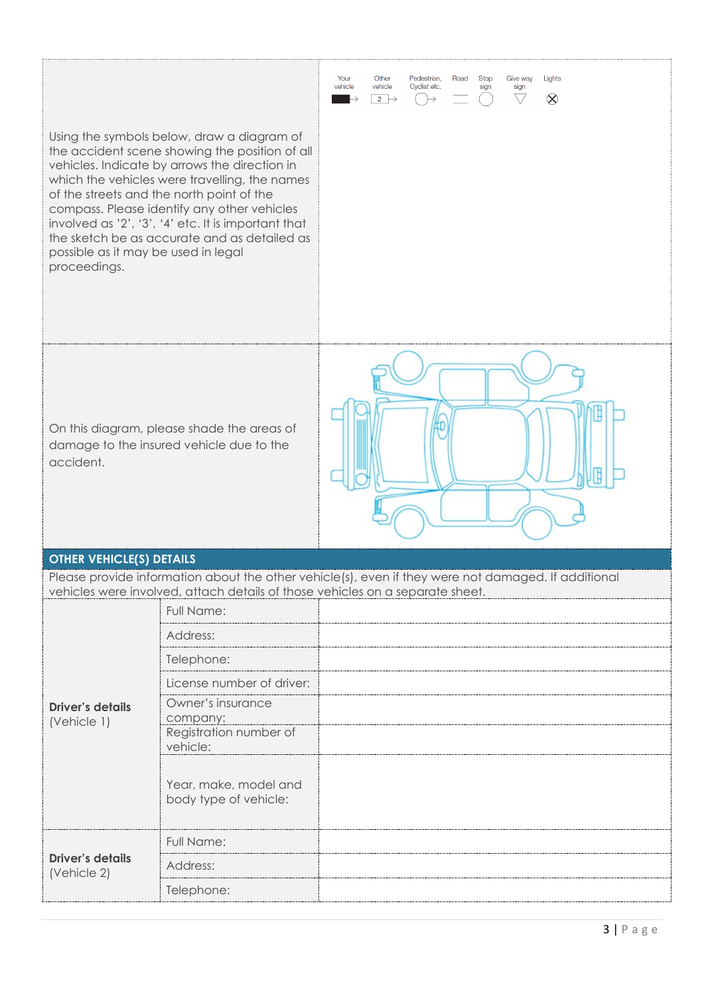| possible as it may be used in legal<br>proceedings.                                                 | Using the symbols below, draw a diagram of<br>the accident scene showing the position of all<br>vehicles. Indicate by arrows the direction in<br>which the vehicles were travelling, the names<br>of the streets and the north point of the<br>compass. Please identify any other vehicles<br>involved as '2', '3', '4' etc. It is important that<br>the sketch be as accurate and as detailed as | Other<br>Road<br><b>Stop</b><br>Lights<br>Your<br>Pedestrian,<br>Give way<br>Cyclist etc.<br>vehicle<br>vehicle<br>sign<br>sign<br>$\bigtriangledown$<br>$\otimes$<br>$2 \rightarrow$<br>$\mapsto$ |  |  |
|-----------------------------------------------------------------------------------------------------|---------------------------------------------------------------------------------------------------------------------------------------------------------------------------------------------------------------------------------------------------------------------------------------------------------------------------------------------------------------------------------------------------|----------------------------------------------------------------------------------------------------------------------------------------------------------------------------------------------------|--|--|
| On this diagram, please shade the areas of<br>damage to the insured vehicle due to the<br>accident. |                                                                                                                                                                                                                                                                                                                                                                                                   |                                                                                                                                                                                                    |  |  |
| <b>OTHER VEHICLE(S) DETAILS</b>                                                                     |                                                                                                                                                                                                                                                                                                                                                                                                   | Please provide information about the other vehicle(s), even if they were not damaged. If additional                                                                                                |  |  |
|                                                                                                     |                                                                                                                                                                                                                                                                                                                                                                                                   | vehicles were involved, attach details of those vehicles on a separate sheet.                                                                                                                      |  |  |
|                                                                                                     | Full Name:                                                                                                                                                                                                                                                                                                                                                                                        |                                                                                                                                                                                                    |  |  |
| <b>Driver's details</b><br>(Vehicle 1)                                                              | Address:                                                                                                                                                                                                                                                                                                                                                                                          |                                                                                                                                                                                                    |  |  |
|                                                                                                     | Telephone:                                                                                                                                                                                                                                                                                                                                                                                        |                                                                                                                                                                                                    |  |  |
|                                                                                                     | License number of driver:                                                                                                                                                                                                                                                                                                                                                                         |                                                                                                                                                                                                    |  |  |
|                                                                                                     | Owner's insurance<br>company:                                                                                                                                                                                                                                                                                                                                                                     |                                                                                                                                                                                                    |  |  |
|                                                                                                     | Registration number of<br>vehicle:                                                                                                                                                                                                                                                                                                                                                                |                                                                                                                                                                                                    |  |  |
|                                                                                                     | Year, make, model and<br>body type of vehicle:                                                                                                                                                                                                                                                                                                                                                    |                                                                                                                                                                                                    |  |  |
| <b>Driver's details</b><br>(Vehicle 2)                                                              | Full Name:                                                                                                                                                                                                                                                                                                                                                                                        |                                                                                                                                                                                                    |  |  |
|                                                                                                     | Address:                                                                                                                                                                                                                                                                                                                                                                                          |                                                                                                                                                                                                    |  |  |
|                                                                                                     | Telephone:                                                                                                                                                                                                                                                                                                                                                                                        |                                                                                                                                                                                                    |  |  |